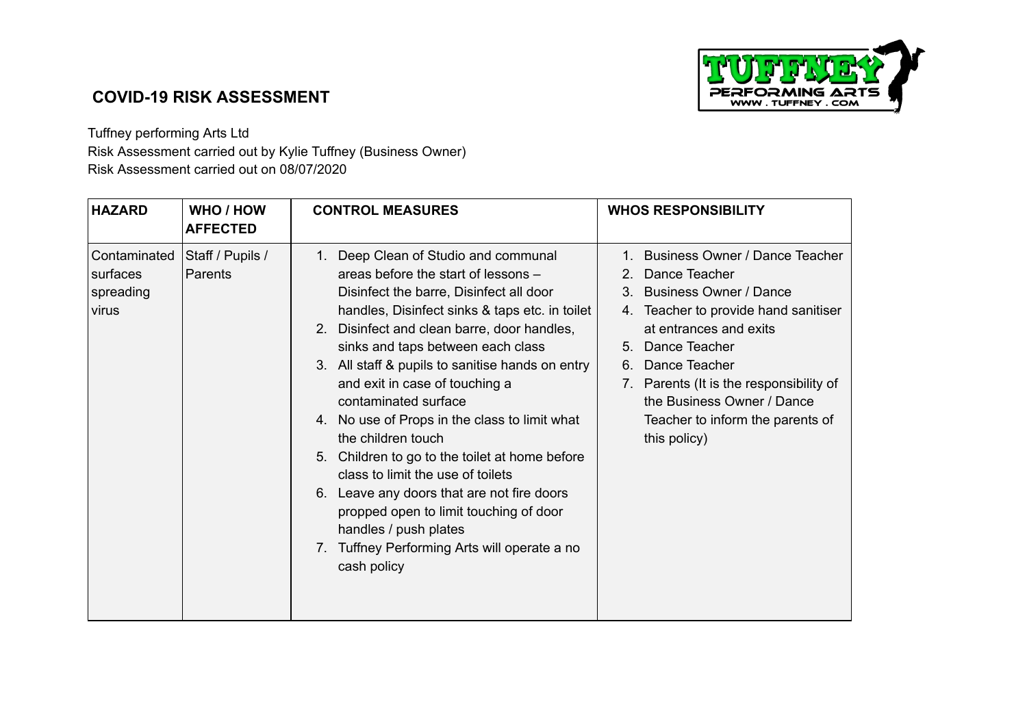

## **COVID-19 RISK ASSESSMENT**

## Tuffney performing Arts Ltd Risk Assessment carried out by Kylie Tuffney (Business Owner) Risk Assessment carried out on 08/07/2020

| WHO / HOW<br><b>HAZARD</b><br><b>AFFECTED</b>                                 | <b>CONTROL MEASURES</b>                                                                                                                                                                                                                                                                                                                                                                                                                                                                                                                                                                                                                                                                                                              | <b>WHOS RESPONSIBILITY</b>                                                                                                                                                                                                                                                                                                                   |
|-------------------------------------------------------------------------------|--------------------------------------------------------------------------------------------------------------------------------------------------------------------------------------------------------------------------------------------------------------------------------------------------------------------------------------------------------------------------------------------------------------------------------------------------------------------------------------------------------------------------------------------------------------------------------------------------------------------------------------------------------------------------------------------------------------------------------------|----------------------------------------------------------------------------------------------------------------------------------------------------------------------------------------------------------------------------------------------------------------------------------------------------------------------------------------------|
| Contaminated<br>Staff / Pupils /<br>Parents<br>surfaces<br>spreading<br>virus | Deep Clean of Studio and communal<br>$1_{\cdot}$<br>areas before the start of lessons -<br>Disinfect the barre, Disinfect all door<br>handles, Disinfect sinks & taps etc. in toilet<br>2. Disinfect and clean barre, door handles,<br>sinks and taps between each class<br>3. All staff & pupils to sanitise hands on entry<br>and exit in case of touching a<br>contaminated surface<br>4. No use of Props in the class to limit what<br>the children touch<br>5. Children to go to the toilet at home before<br>class to limit the use of toilets<br>6. Leave any doors that are not fire doors<br>propped open to limit touching of door<br>handles / push plates<br>7. Tuffney Performing Arts will operate a no<br>cash policy | Business Owner / Dance Teacher<br>$1_{-}$<br>2. Dance Teacher<br>3. Business Owner / Dance<br>Teacher to provide hand sanitiser<br>$4_{-}$<br>at entrances and exits<br>5. Dance Teacher<br>Dance Teacher<br>6.<br>7. Parents (It is the responsibility of<br>the Business Owner / Dance<br>Teacher to inform the parents of<br>this policy) |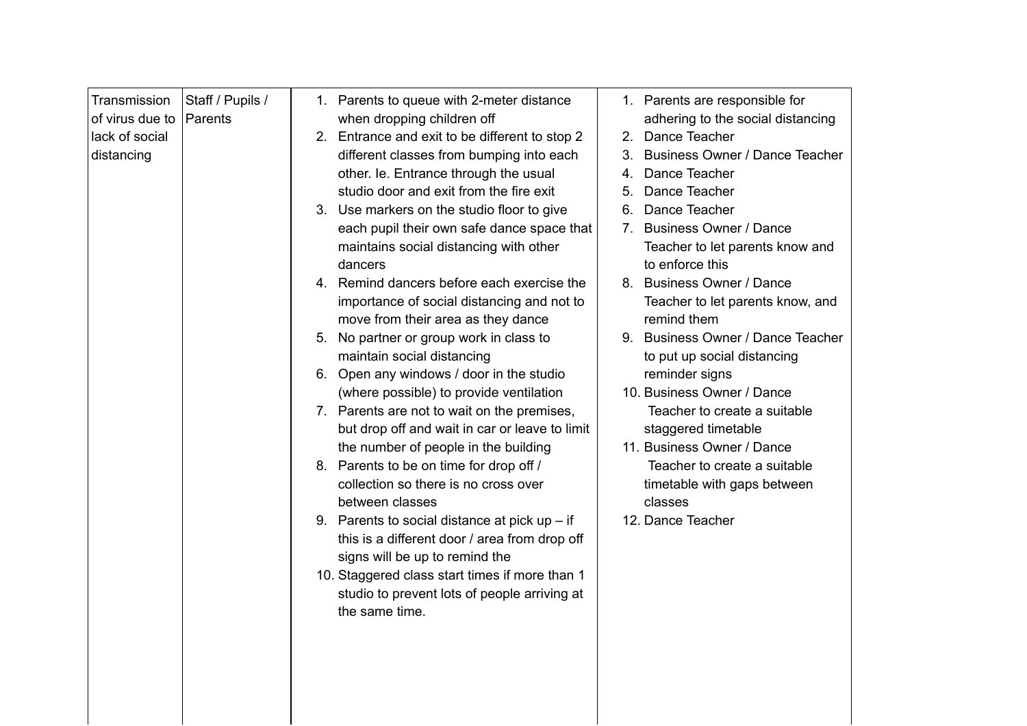| Transmission    | Staff / Pupils / |    | 1. Parents to queue with 2-meter distance       |    | 1. Parents are responsible for    |
|-----------------|------------------|----|-------------------------------------------------|----|-----------------------------------|
| of virus due to | Parents          |    | when dropping children off                      |    | adhering to the social distancing |
| lack of social  |                  | 2. | Entrance and exit to be different to stop 2     | 2. | Dance Teacher                     |
|                 |                  |    | different classes from bumping into each        |    | 3. Business Owner / Dance Teacher |
| distancing      |                  |    |                                                 |    | Dance Teacher                     |
|                 |                  |    | other. Ie. Entrance through the usual           | 4. |                                   |
|                 |                  |    | studio door and exit from the fire exit         | 5. | Dance Teacher                     |
|                 |                  |    | 3. Use markers on the studio floor to give      | 6. | Dance Teacher                     |
|                 |                  |    | each pupil their own safe dance space that      |    | 7. Business Owner / Dance         |
|                 |                  |    | maintains social distancing with other          |    | Teacher to let parents know and   |
|                 |                  |    | dancers                                         |    | to enforce this                   |
|                 |                  |    | 4. Remind dancers before each exercise the      | 8. | <b>Business Owner / Dance</b>     |
|                 |                  |    | importance of social distancing and not to      |    | Teacher to let parents know, and  |
|                 |                  |    | move from their area as they dance              |    | remind them                       |
|                 |                  |    | 5. No partner or group work in class to         |    | 9. Business Owner / Dance Teacher |
|                 |                  |    | maintain social distancing                      |    | to put up social distancing       |
|                 |                  |    | 6. Open any windows / door in the studio        |    | reminder signs                    |
|                 |                  |    | (where possible) to provide ventilation         |    | 10. Business Owner / Dance        |
|                 |                  |    | 7. Parents are not to wait on the premises,     |    | Teacher to create a suitable      |
|                 |                  |    | but drop off and wait in car or leave to limit  |    | staggered timetable               |
|                 |                  |    | the number of people in the building            |    | 11. Business Owner / Dance        |
|                 |                  |    | 8. Parents to be on time for drop off /         |    | Teacher to create a suitable      |
|                 |                  |    | collection so there is no cross over            |    | timetable with gaps between       |
|                 |                  |    | between classes                                 |    | classes                           |
|                 |                  |    | 9. Parents to social distance at pick up $-$ if |    | 12. Dance Teacher                 |
|                 |                  |    | this is a different door / area from drop off   |    |                                   |
|                 |                  |    | signs will be up to remind the                  |    |                                   |
|                 |                  |    | 10. Staggered class start times if more than 1  |    |                                   |
|                 |                  |    | studio to prevent lots of people arriving at    |    |                                   |
|                 |                  |    | the same time.                                  |    |                                   |
|                 |                  |    |                                                 |    |                                   |
|                 |                  |    |                                                 |    |                                   |
|                 |                  |    |                                                 |    |                                   |
|                 |                  |    |                                                 |    |                                   |
|                 |                  |    |                                                 |    |                                   |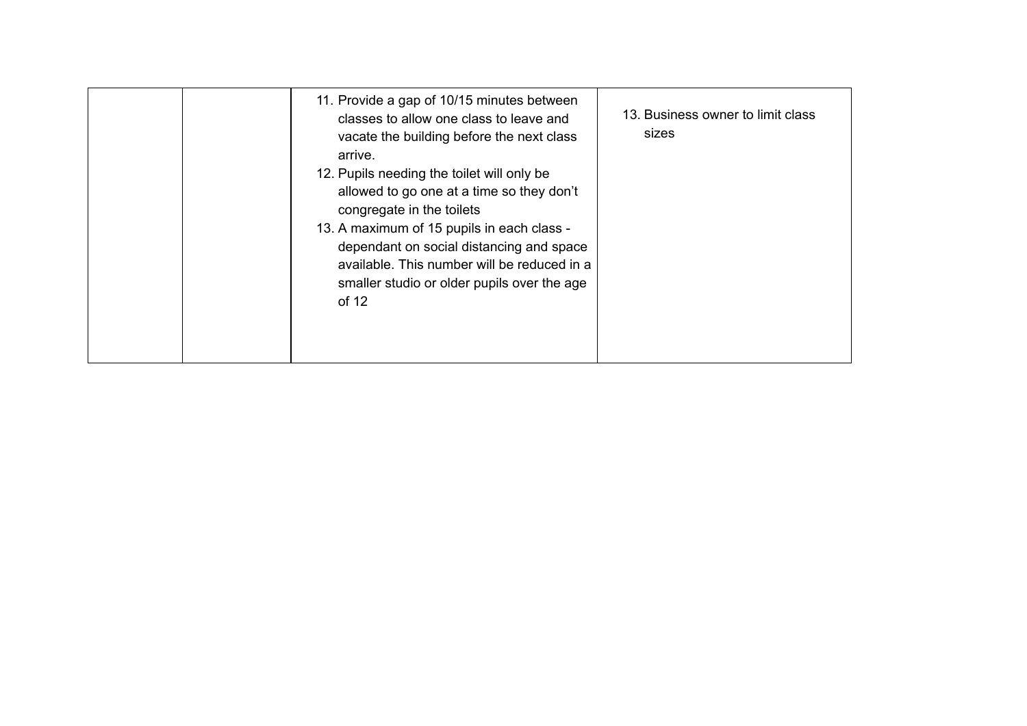|  | 11. Provide a gap of 10/15 minutes between<br>classes to allow one class to leave and<br>vacate the building before the next class<br>arrive.<br>12. Pupils needing the toilet will only be<br>allowed to go one at a time so they don't<br>congregate in the toilets<br>13. A maximum of 15 pupils in each class -<br>dependant on social distancing and space<br>available. This number will be reduced in a<br>smaller studio or older pupils over the age<br>of 12 | 13. Business owner to limit class<br>sizes |
|--|------------------------------------------------------------------------------------------------------------------------------------------------------------------------------------------------------------------------------------------------------------------------------------------------------------------------------------------------------------------------------------------------------------------------------------------------------------------------|--------------------------------------------|
|--|------------------------------------------------------------------------------------------------------------------------------------------------------------------------------------------------------------------------------------------------------------------------------------------------------------------------------------------------------------------------------------------------------------------------------------------------------------------------|--------------------------------------------|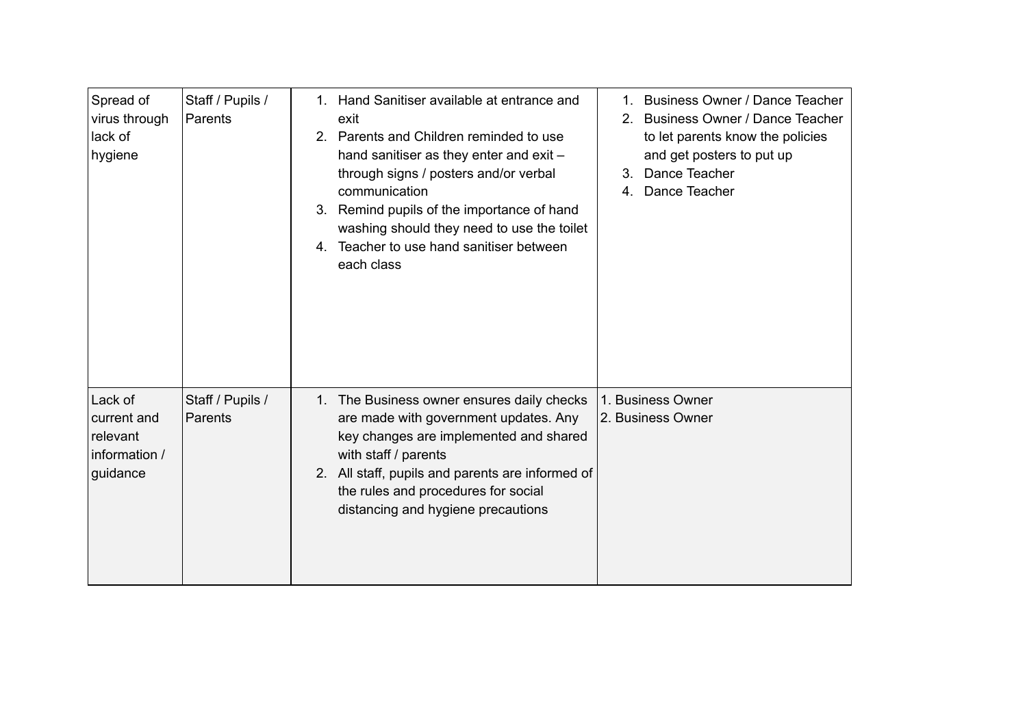| Spread of<br>virus through<br>lack of<br>hygiene                | Staff / Pupils /<br>Parents | 1.<br>$2_{-}$<br>3.<br>4. | Hand Sanitiser available at entrance and<br>exit<br>Parents and Children reminded to use<br>hand sanitiser as they enter and exit -<br>through signs / posters and/or verbal<br>communication<br>Remind pupils of the importance of hand<br>washing should they need to use the toilet<br>Teacher to use hand sanitiser between<br>each class | 3.<br>4. | 1. Business Owner / Dance Teacher<br>2. Business Owner / Dance Teacher<br>to let parents know the policies<br>and get posters to put up<br>Dance Teacher<br>Dance Teacher |
|-----------------------------------------------------------------|-----------------------------|---------------------------|-----------------------------------------------------------------------------------------------------------------------------------------------------------------------------------------------------------------------------------------------------------------------------------------------------------------------------------------------|----------|---------------------------------------------------------------------------------------------------------------------------------------------------------------------------|
| Lack of<br>current and<br>relevant<br>information /<br>guidance | Staff / Pupils /<br>Parents |                           | 1. The Business owner ensures daily checks<br>are made with government updates. Any<br>key changes are implemented and shared<br>with staff / parents<br>2. All staff, pupils and parents are informed of<br>the rules and procedures for social<br>distancing and hygiene precautions                                                        |          | 1. Business Owner<br>2. Business Owner                                                                                                                                    |